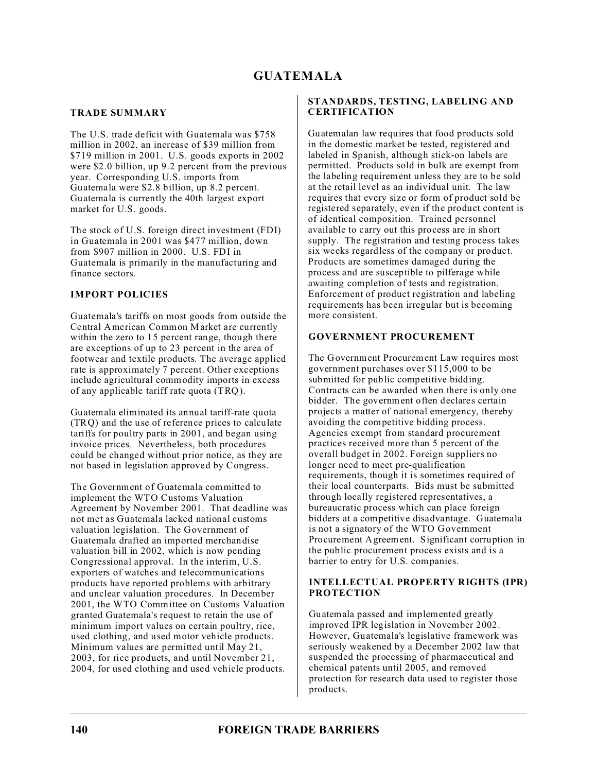# **GUATEMALA**

# **TRADE SUMMARY**

The U.S. trade deficit with Guatemala was \$758 million in 2002, an increase of \$39 million from \$719 million in 2001. U.S. goods exports in 2002 were \$2.0 billion, up 9.2 percent from the previous year. Corresponding U.S. imports from Guatemala were \$2.8 billion, up 8.2 percent. Guatemala is currently the 40th largest export market for U.S. goods.

The stock of U.S. foreign direct investment (FDI) in Guatemala in 2001 was \$477 million, down from \$907 million in 2000. U.S. FDI in Guatemala is primarily in the manufacturing and finance sectors.

# **IMPORT POLICIES**

Guatemala's tariffs on most goods from outside the Central American Common Market are currently within the zero to 15 percent range, though there are exceptions of up to 23 percent in the area of footwear and textile products. The average applied rate is approximately 7 percent. Other exceptions include agricultural commodity imports in excess of any applicable tariff rate quota (TRQ).

Guatemala eliminated its annual tariff-rate quota (TRQ) and the use of reference prices to calculate tariffs for poultry parts in 2001, and began using invoice prices. Nevertheless, both procedures could be changed without prior notice, as they are not based in legislation approved by Congress.

The Government of Guatemala committed to implement the WTO Customs Valuation Agreement by November 2001. That deadline was not met as Guatemala lacked national customs valuation legislation. The Government of Guatemala drafted an imported merchandise valuation bill in 2002, which is now pending Congressional approval. In the interim, U.S. exporters of watches and telecommunications products have reported problems with arbitrary and unclear valuation procedures. In December 2001, the WTO Committee on Customs Valuation granted Guatemala's request to retain the use of minimum import values on certain poultry, rice, used clothing, and used motor vehicle products. Minimum values are permitted until May 21, 2003, for rice products, and until November 21, 2004, for used clothing and used vehicle products.

# **STANDARDS, TESTING, LABELING AND CERTIFICATION**

Guatemalan law requires that food products sold in the domestic market be tested, registered and labeled in Spanish, although stick-on labels are permitted. Products sold in bulk are exempt from the labeling requirement unless they are to be sold at the retail level as an individual unit. The law requires that every size or form of product sold be registered separately, even if the product content is of identical composition. Trained personnel available to carry out this process are in short supply. The registration and testing process takes six weeks regardless of the company or product. Products are sometimes damaged during the process and are susceptible to pilferage while awaiting completion of tests and registration. Enforcement of product registration and labeling requirements has been irregular but is becoming more consistent.

# **GOVERNMENT PROCUREMENT**

The Government Procurement Law requires most government purchases over \$115,000 to be submitted for public competitive bidding. Contracts can be awarded when there is only one bidder. The government often declares certain projects a matter of national emergency, thereby avoiding the competitive bidding process. Agencies exempt from standard procurement practices received more than 5 percent of the overall budget in 2002. Foreign suppliers no longer need to meet pre-qualification requirements, though it is sometimes required of their local counterparts. Bids must be submitted through locally registered representatives, a bureaucratic process which can place foreign bidders at a competitive disadvantage. Guatemala is not a signatory of the WTO Government Procurement Agreement. Significant corruption in the public procurement process exists and is a barrier to entry for U.S. companies.

### **INTELLECTUAL PROPERTY RIGHTS (IPR) PROTECTION**

Guatemala passed and implemented greatly improved IPR legislation in November 2002. However, Guatemala's legislative framework was seriously weakened by a December 2002 law that suspended the processing of pharmaceutical and chemical patents until 2005, and removed protection for research data used to register those products.